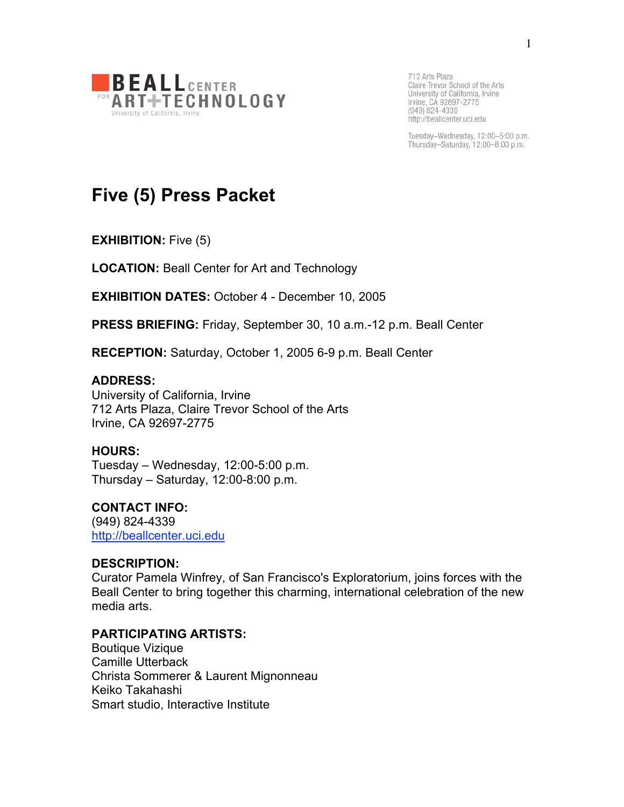

Tuesday-Wednesday, 12:00-5:00 p.m. Thursday-Saturday, 12:00-8:00 p.m.

# **Five (5) Press Packet**

**EXHIBITION:** Five (5)

**LOCATION:** Beall Center for Art and Technology

**EXHIBITION DATES:** October 4 - December 10, 2005

**PRESS BRIEFING:** Friday, September 30, 10 a.m.-12 p.m. Beall Center

**RECEPTION:** Saturday, October 1, 2005 6-9 p.m. Beall Center

### **ADDRESS:**

University of California, Irvine 712 Arts Plaza, Claire Trevor School of the Arts Irvine, CA 92697-2775

### **HOURS:**

Tuesday – Wednesday, 12:00-5:00 p.m. Thursday – Saturday, 12:00-8:00 p.m.

# **CONTACT INFO:**

(949) 824-4339 http://beallcenter.uci.edu

# **DESCRIPTION:**

Curator Pamela Winfrey, of San Francisco's Exploratorium, joins forces with the Beall Center to bring together this charming, international celebration of the new media arts.

### **PARTICIPATING ARTISTS:**

Boutique Vizique Camille Utterback Christa Sommerer & Laurent Mignonneau Keiko Takahashi Smart studio, Interactive Institute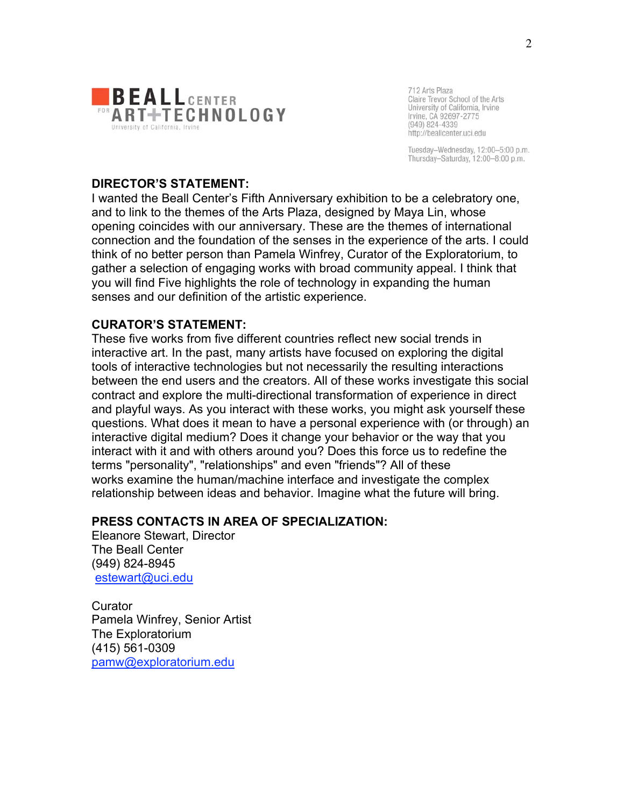

Tuesday-Wednesday, 12:00-5:00 p.m. Thursday-Saturday, 12:00-8:00 p.m.

#### **DIRECTOR'S STATEMENT:**

I wanted the Beall Center's Fifth Anniversary exhibition to be a celebratory one, and to link to the themes of the Arts Plaza, designed by Maya Lin, whose opening coincides with our anniversary. These are the themes of international connection and the foundation of the senses in the experience of the arts. I could think of no better person than Pamela Winfrey, Curator of the Exploratorium, to gather a selection of engaging works with broad community appeal. I think that you will find Five highlights the role of technology in expanding the human senses and our definition of the artistic experience.

#### **CURATOR'S STATEMENT:**

These five works from five different countries reflect new social trends in interactive art. In the past, many artists have focused on exploring the digital tools of interactive technologies but not necessarily the resulting interactions between the end users and the creators. All of these works investigate this social contract and explore the multi-directional transformation of experience in direct and playful ways. As you interact with these works, you might ask yourself these questions. What does it mean to have a personal experience with (or through) an interactive digital medium? Does it change your behavior or the way that you interact with it and with others around you? Does this force us to redefine the terms "personality", "relationships" and even "friends"? All of these works examine the human/machine interface and investigate the complex relationship between ideas and behavior. Imagine what the future will bring.

### **PRESS CONTACTS IN AREA OF SPECIALIZATION:**

Eleanore Stewart, Director The Beall Center (949) 824-8945 estewart@uci.edu

**Curator** Pamela Winfrey, Senior Artist The Exploratorium (415) 561-0309 pamw@exploratorium.edu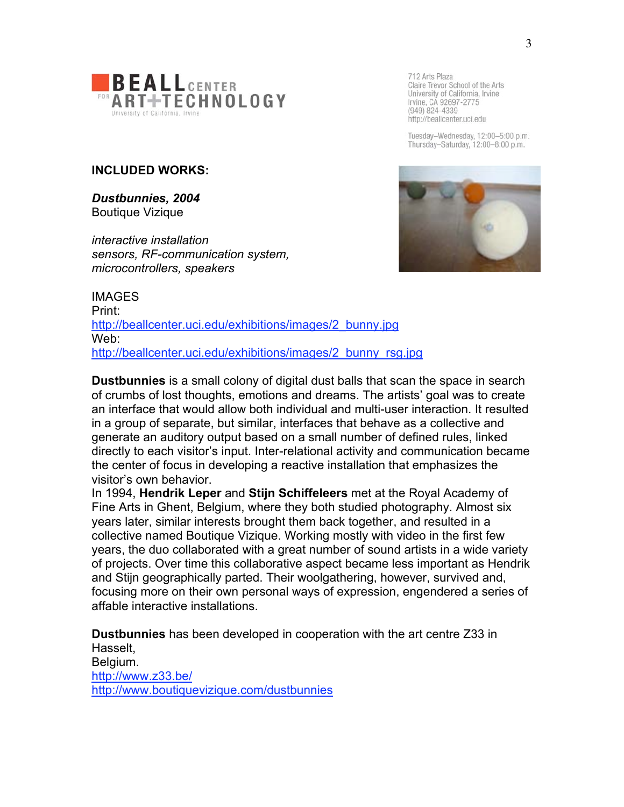

Tuesday-Wednesday, 12:00-5:00 p.m. Thursday-Saturday, 12:00-8:00 p.m.

# **INCLUDED WORKS:**

*Dustbunnies, 2004* Boutique Vizique

*interactive installation sensors, RF-communication system, microcontrollers, speakers*



IMAGES Print: http://beallcenter.uci.edu/exhibitions/images/2\_bunny.jpg Web: http://beallcenter.uci.edu/exhibitions/images/2\_bunny\_rsg.jpg

**Dustbunnies** is a small colony of digital dust balls that scan the space in search of crumbs of lost thoughts, emotions and dreams. The artists' goal was to create an interface that would allow both individual and multi-user interaction. It resulted in a group of separate, but similar, interfaces that behave as a collective and generate an auditory output based on a small number of defined rules, linked directly to each visitor's input. Inter-relational activity and communication became the center of focus in developing a reactive installation that emphasizes the visitor's own behavior.

In 1994, **Hendrik Leper** and **Stijn Schiffeleers** met at the Royal Academy of Fine Arts in Ghent, Belgium, where they both studied photography. Almost six years later, similar interests brought them back together, and resulted in a collective named Boutique Vizique. Working mostly with video in the first few years, the duo collaborated with a great number of sound artists in a wide variety of projects. Over time this collaborative aspect became less important as Hendrik and Stijn geographically parted. Their woolgathering, however, survived and, focusing more on their own personal ways of expression, engendered a series of affable interactive installations.

**Dustbunnies** has been developed in cooperation with the art centre Z33 in Hasselt, Belgium. http://www.z33.be/ http://www.boutiquevizique.com/dustbunnies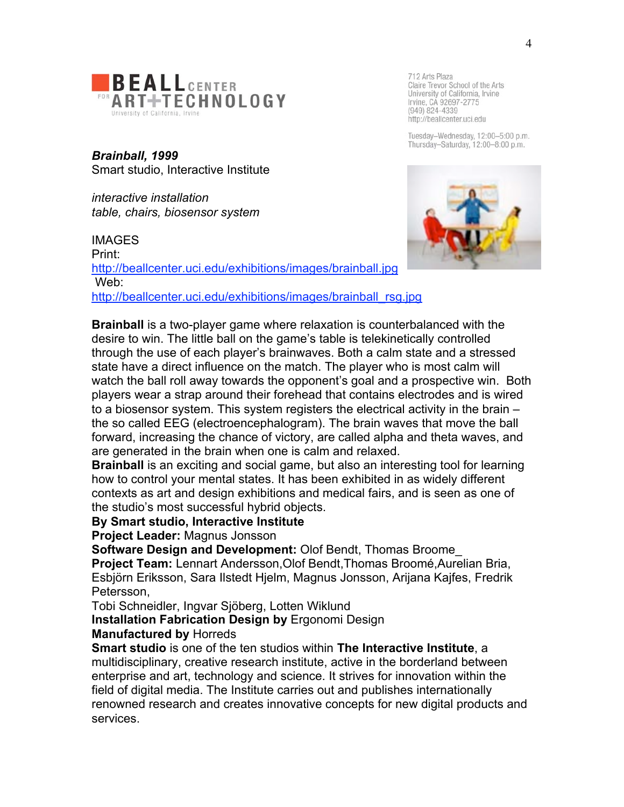

*Brainball, 1999* Smart studio, Interactive Institute

*interactive installation table, chairs, biosensor system*

IMAGES Print: http://beallcenter.uci.edu/exhibitions/images/brainball.jpg Web: http://beallcenter.uci.edu/exhibitions/images/brainball\_rsg.jpg



712 Arts Plaza

Tuesday-Wednesday, 12:00-5:00 p.m. Thursday-Saturday, 12:00-8:00 p.m.



**Brainball** is a two-player game where relaxation is counterbalanced with the desire to win. The little ball on the game's table is telekinetically controlled through the use of each player's brainwaves. Both a calm state and a stressed state have a direct influence on the match. The player who is most calm will watch the ball roll away towards the opponent's goal and a prospective win. Both players wear a strap around their forehead that contains electrodes and is wired to a biosensor system. This system registers the electrical activity in the brain – the so called EEG (electroencephalogram). The brain waves that move the ball forward, increasing the chance of victory, are called alpha and theta waves, and are generated in the brain when one is calm and relaxed.

**Brainball** is an exciting and social game, but also an interesting tool for learning how to control your mental states. It has been exhibited in as widely different contexts as art and design exhibitions and medical fairs, and is seen as one of the studio's most successful hybrid objects.

**By Smart studio, Interactive Institute**

**Project Leader:** Magnus Jonsson

**Software Design and Development:** Olof Bendt, Thomas Broome\_ **Project Team:** Lennart Andersson,Olof Bendt,Thomas Broomé,Aurelian Bria, Esbjörn Eriksson, Sara Ilstedt Hjelm, Magnus Jonsson, Arijana Kajfes, Fredrik Petersson,

Tobi Schneidler, Ingvar Sjöberg, Lotten Wiklund

**Installation Fabrication Design by** Ergonomi Design

**Manufactured by** Horreds

**Smart studio** is one of the ten studios within **The Interactive Institute**, a multidisciplinary, creative research institute, active in the borderland between enterprise and art, technology and science. It strives for innovation within the field of digital media. The Institute carries out and publishes internationally renowned research and creates innovative concepts for new digital products and services.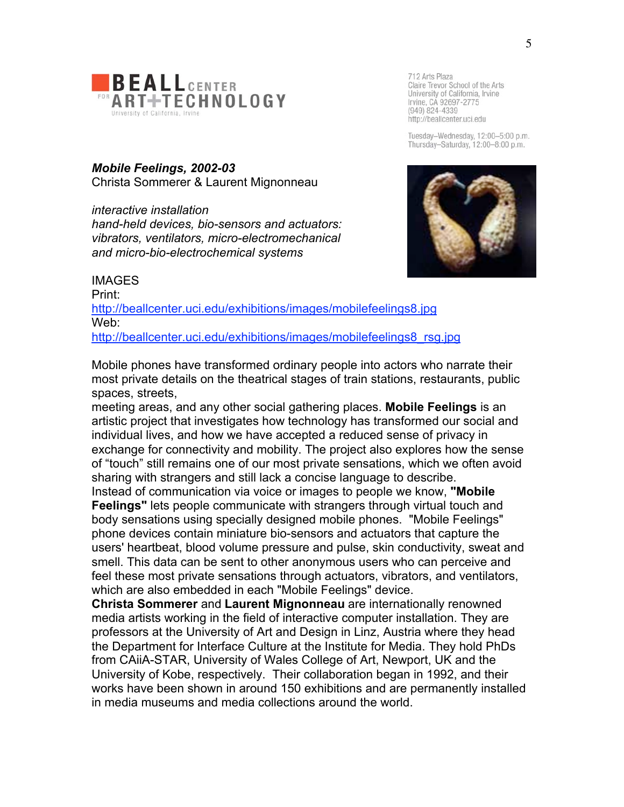

Tuesday-Wednesday, 12:00-5:00 p.m. Thursday-Saturday, 12:00-8:00 p.m.

*Mobile Feelings, 2002-03* Christa Sommerer & Laurent Mignonneau

*interactive installation hand-held devices, bio-sensors and actuators: vibrators, ventilators, micro-electromechanical and micro-bio-electrochemical systems*



IMAGES Print: http://beallcenter.uci.edu/exhibitions/images/mobilefeelings8.jpg Web: http://beallcenter.uci.edu/exhibitions/images/mobilefeelings8\_rsg.jpg

Mobile phones have transformed ordinary people into actors who narrate their most private details on the theatrical stages of train stations, restaurants, public spaces, streets,

meeting areas, and any other social gathering places. **Mobile Feelings** is an artistic project that investigates how technology has transformed our social and individual lives, and how we have accepted a reduced sense of privacy in exchange for connectivity and mobility. The project also explores how the sense of "touch" still remains one of our most private sensations, which we often avoid sharing with strangers and still lack a concise language to describe.

Instead of communication via voice or images to people we know, **"Mobile Feelings"** lets people communicate with strangers through virtual touch and body sensations using specially designed mobile phones. "Mobile Feelings" phone devices contain miniature bio-sensors and actuators that capture the users' heartbeat, blood volume pressure and pulse, skin conductivity, sweat and smell. This data can be sent to other anonymous users who can perceive and feel these most private sensations through actuators, vibrators, and ventilators, which are also embedded in each "Mobile Feelings" device.

**Christa Sommerer** and **Laurent Mignonneau** are internationally renowned media artists working in the field of interactive computer installation. They are professors at the University of Art and Design in Linz, Austria where they head the Department for Interface Culture at the Institute for Media. They hold PhDs from CAiiA-STAR, University of Wales College of Art, Newport, UK and the University of Kobe, respectively. Their collaboration began in 1992, and their works have been shown in around 150 exhibitions and are permanently installed in media museums and media collections around the world.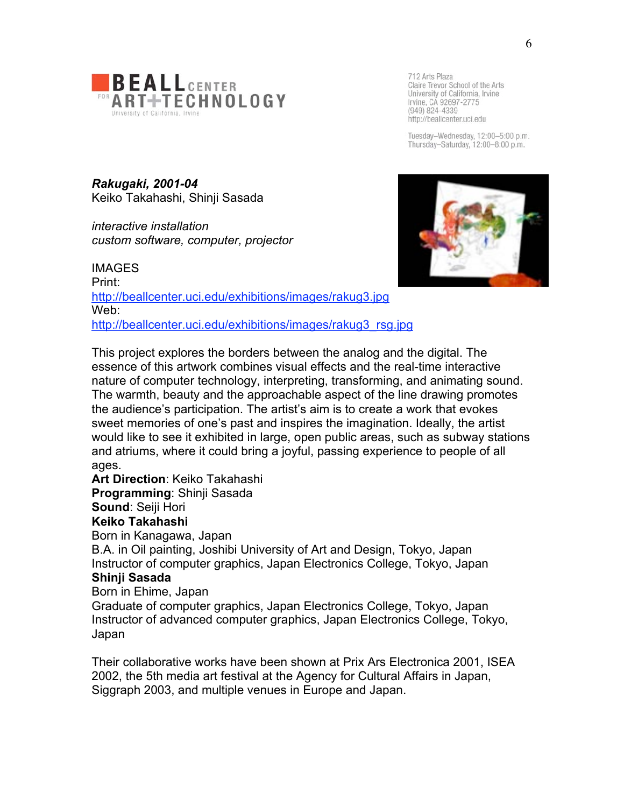

Tuesday-Wednesday, 12:00-5:00 p.m. Thursday-Saturday, 12:00-8:00 p.m.

*Rakugaki, 2001-04* Keiko Takahashi, Shinji Sasada

*interactive installation custom software, computer, projector*



**IMAGES** Print: http://beallcenter.uci.edu/exhibitions/images/rakug3.jpg Web: http://beallcenter.uci.edu/exhibitions/images/rakug3\_rsg.jpg

This project explores the borders between the analog and the digital. The essence of this artwork combines visual effects and the real-time interactive nature of computer technology, interpreting, transforming, and animating sound. The warmth, beauty and the approachable aspect of the line drawing promotes the audience's participation. The artist's aim is to create a work that evokes sweet memories of one's past and inspires the imagination. Ideally, the artist would like to see it exhibited in large, open public areas, such as subway stations and atriums, where it could bring a joyful, passing experience to people of all ages.

**Art Direction**: Keiko Takahashi

**Programming**: Shinji Sasada

**Sound: Seiji Hori** 

**Keiko Takahashi**

Born in Kanagawa, Japan

B.A. in Oil painting, Joshibi University of Art and Design, Tokyo, Japan Instructor of computer graphics, Japan Electronics College, Tokyo, Japan **Shinji Sasada**

Born in Ehime, Japan

Graduate of computer graphics, Japan Electronics College, Tokyo, Japan Instructor of advanced computer graphics, Japan Electronics College, Tokyo, Japan

Their collaborative works have been shown at Prix Ars Electronica 2001, ISEA 2002, the 5th media art festival at the Agency for Cultural Affairs in Japan, Siggraph 2003, and multiple venues in Europe and Japan.